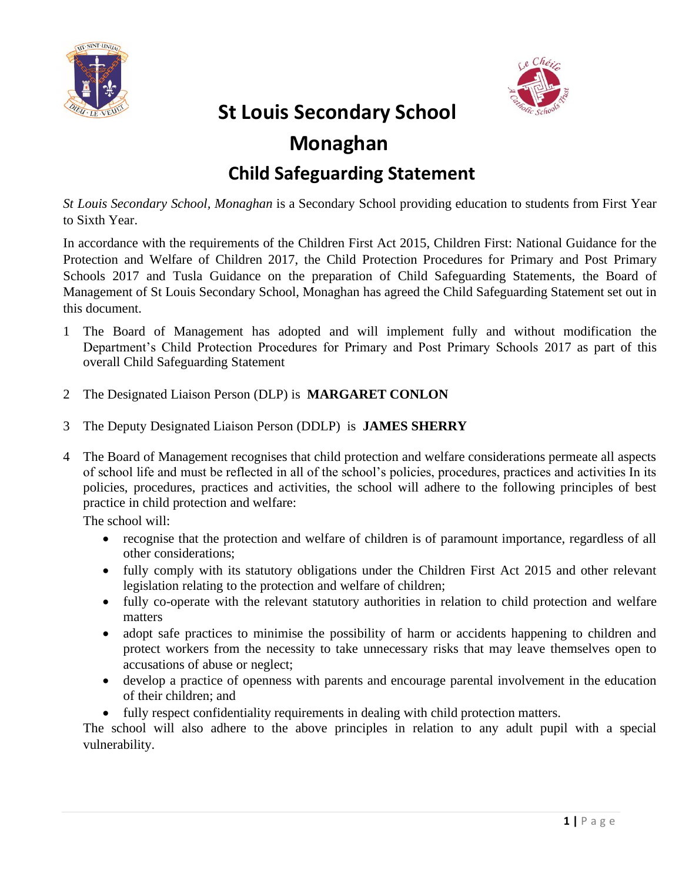



## **St Louis Secondary School**

## **Monaghan**

## **Child Safeguarding Statement**

*St Louis Secondary School, Monaghan* is a Secondary School providing education to students from First Year to Sixth Year.

In accordance with the requirements of the Children First Act 2015, Children First: National Guidance for the Protection and Welfare of Children 2017, the Child Protection Procedures for Primary and Post Primary Schools 2017 and Tusla Guidance on the preparation of Child Safeguarding Statements, the Board of Management of St Louis Secondary School, Monaghan has agreed the Child Safeguarding Statement set out in this document.

- 1 The Board of Management has adopted and will implement fully and without modification the Department's Child Protection Procedures for Primary and Post Primary Schools 2017 as part of this overall Child Safeguarding Statement
- 2 The Designated Liaison Person (DLP) is **MARGARET CONLON**
- 3 The Deputy Designated Liaison Person (DDLP) is **JAMES SHERRY**
- 4 The Board of Management recognises that child protection and welfare considerations permeate all aspects of school life and must be reflected in all of the school's policies, procedures, practices and activities In its policies, procedures, practices and activities, the school will adhere to the following principles of best practice in child protection and welfare:

The school will:

- recognise that the protection and welfare of children is of paramount importance, regardless of all other considerations;
- fully comply with its statutory obligations under the Children First Act 2015 and other relevant legislation relating to the protection and welfare of children;
- fully co-operate with the relevant statutory authorities in relation to child protection and welfare matters
- adopt safe practices to minimise the possibility of harm or accidents happening to children and protect workers from the necessity to take unnecessary risks that may leave themselves open to accusations of abuse or neglect;
- develop a practice of openness with parents and encourage parental involvement in the education of their children; and
- fully respect confidentiality requirements in dealing with child protection matters.

The school will also adhere to the above principles in relation to any adult pupil with a special vulnerability.